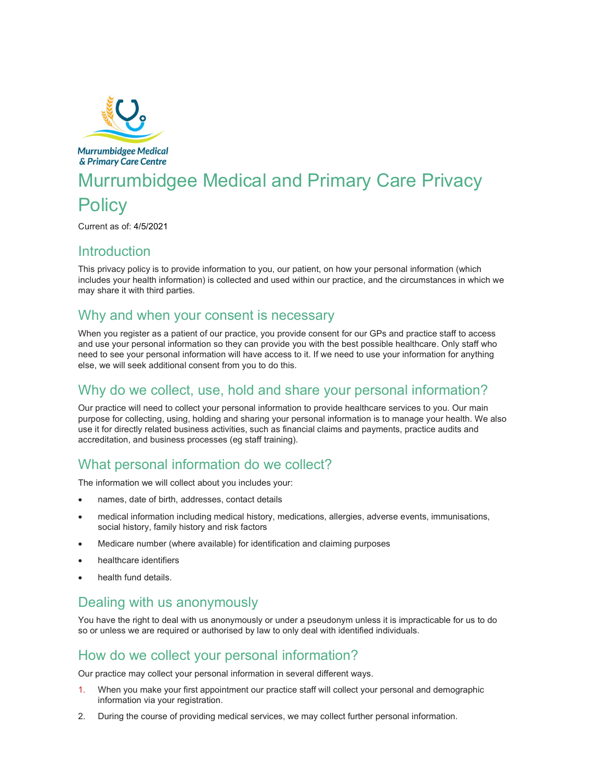

**Murrumbidgee Medical** & Primary Care Centre

# Murrumbidgee Medical and Primary Care Privacy **Policy**

Current as of: 4/5/2021

#### Introduction

This privacy policy is to provide information to you, our patient, on how your personal information (which includes your health information) is collected and used within our practice, and the circumstances in which we may share it with third parties.

## Why and when your consent is necessary

When you register as a patient of our practice, you provide consent for our GPs and practice staff to access and use your personal information so they can provide you with the best possible healthcare. Only staff who need to see your personal information will have access to it. If we need to use your information for anything else, we will seek additional consent from you to do this.

## Why do we collect, use, hold and share your personal information?

Our practice will need to collect your personal information to provide healthcare services to you. Our main purpose for collecting, using, holding and sharing your personal information is to manage your health. We also use it for directly related business activities, such as financial claims and payments, practice audits and accreditation, and business processes (eg staff training).

# What personal information do we collect?

The information we will collect about you includes your:

- names, date of birth, addresses, contact details
- medical information including medical history, medications, allergies, adverse events, immunisations, social history, family history and risk factors
- Medicare number (where available) for identification and claiming purposes
- healthcare identifiers
- health fund details.

## Dealing with us anonymously

You have the right to deal with us anonymously or under a pseudonym unless it is impracticable for us to do so or unless we are required or authorised by law to only deal with identified individuals.

## How do we collect your personal information?

Our practice may collect your personal information in several different ways.

- 1. When you make your first appointment our practice staff will collect your personal and demographic information via your registration.
- 2. During the course of providing medical services, we may collect further personal information.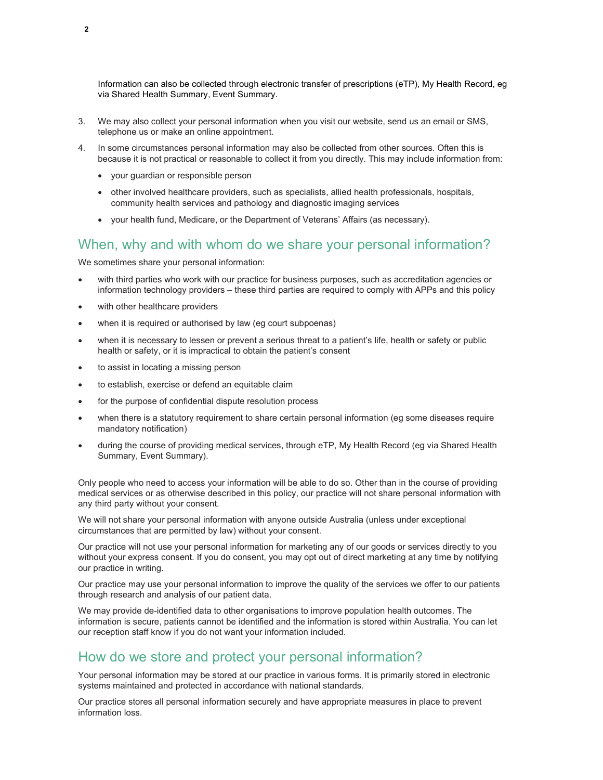Information can also be collected through electronic transfer of prescriptions (eTP), My Health Record, eg via Shared Health Summary, Event Summary.

- 3. We may also collect your personal information when you visit our website, send us an email or SMS, telephone us or make an online appointment.
- 4. In some circumstances personal information may also be collected from other sources. Often this is because it is not practical or reasonable to collect it from you directly. This may include information from:
	- your guardian or responsible person
	- other involved healthcare providers, such as specialists, allied health professionals, hospitals, community health services and pathology and diagnostic imaging services
	- your health fund, Medicare, or the Department of Veterans' Affairs (as necessary).

#### When, why and with whom do we share your personal information?

We sometimes share your personal information:

- with third parties who work with our practice for business purposes, such as accreditation agencies or information technology providers – these third parties are required to comply with APPs and this policy
- with other healthcare providers
- when it is required or authorised by law (eg court subpoenas)
- when it is necessary to lessen or prevent a serious threat to a patient's life, health or safety or public health or safety, or it is impractical to obtain the patient's consent
- to assist in locating a missing person
- to establish, exercise or defend an equitable claim
- for the purpose of confidential dispute resolution process
- when there is a statutory requirement to share certain personal information (eg some diseases require mandatory notification)
- during the course of providing medical services, through eTP, My Health Record (eg via Shared Health Summary, Event Summary).

Only people who need to access your information will be able to do so. Other than in the course of providing medical services or as otherwise described in this policy, our practice will not share personal information with any third party without your consent.

We will not share your personal information with anyone outside Australia (unless under exceptional circumstances that are permitted by law) without your consent.

Our practice will not use your personal information for marketing any of our goods or services directly to you without your express consent. If you do consent, you may opt out of direct marketing at any time by notifying our practice in writing.

Our practice may use your personal information to improve the quality of the services we offer to our patients through research and analysis of our patient data.

We may provide de-identified data to other organisations to improve population health outcomes. The information is secure, patients cannot be identified and the information is stored within Australia. You can let our reception staff know if you do not want your information included.

#### How do we store and protect your personal information?

Your personal information may be stored at our practice in various forms. It is primarily stored in electronic systems maintained and protected in accordance with national standards.

Our practice stores all personal information securely and have appropriate measures in place to prevent information loss.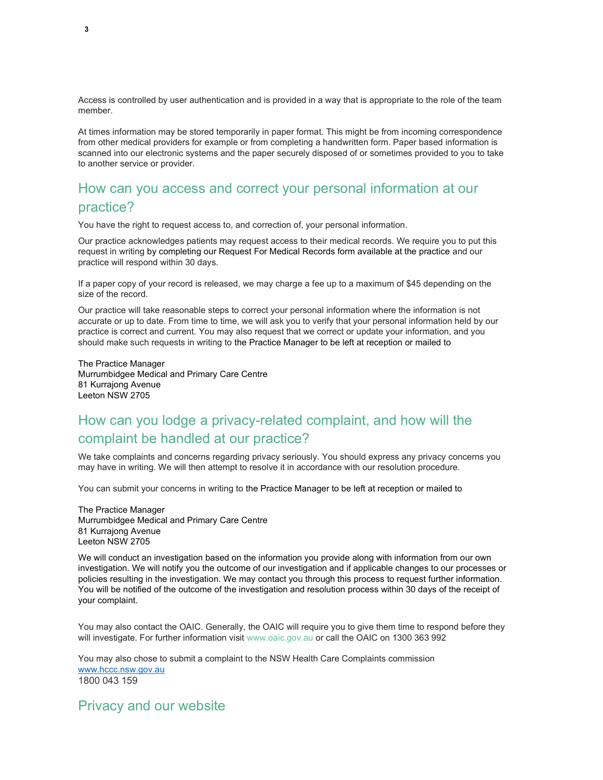Access is controlled by user authentication and is provided in a way that is appropriate to the role of the team member.

At times information may be stored temporarily in paper format. This might be from incoming correspondence from other medical providers for example or from completing a handwritten form. Paper based information is scanned into our electronic systems and the paper securely disposed of or sometimes provided to you to take to another service or provider.

#### How can you access and correct your personal information at our practice?

You have the right to request access to, and correction of, your personal information.

Our practice acknowledges patients may request access to their medical records. We require you to put this request in writing by completing our Request For Medical Records form available at the practice and our practice will respond within 30 days.

If a paper copy of your record is released, we may charge a fee up to a maximum of \$45 depending on the size of the record.

Our practice will take reasonable steps to correct your personal information where the information is not accurate or up to date. From time to time, we will ask you to verify that your personal information held by our practice is correct and current. You may also request that we correct or update your information, and you should make such requests in writing to the Practice Manager to be left at reception or mailed to

The Practice Manager Murrumbidgee Medical and Primary Care Centre 81 Kurrajong Avenue Leeton NSW 2705

# How can you lodge a privacy-related complaint, and how will the complaint be handled at our practice?

We take complaints and concerns regarding privacy seriously. You should express any privacy concerns you may have in writing. We will then attempt to resolve it in accordance with our resolution procedure.

You can submit your concerns in writing to the Practice Manager to be left at reception or mailed to

The Practice Manager Murrumbidgee Medical and Primary Care Centre 81 Kurrajong Avenue Leeton NSW 2705

We will conduct an investigation based on the information you provide along with information from our own investigation. We will notify you the outcome of our investigation and if applicable changes to our processes or policies resulting in the investigation. We may contact you through this process to request further information. You will be notified of the outcome of the investigation and resolution process within 30 days of the receipt of your complaint.

You may also contact the OAIC. Generally, the OAIC will require you to give them time to respond before they will investigate. For further information visit www.oaic.gov.au or call the OAIC on 1300 363 992

You may also chose to submit a complaint to the NSW Health Care Complaints commission www.hccc.nsw.gov.au 1800 043 159

Privacy and our website